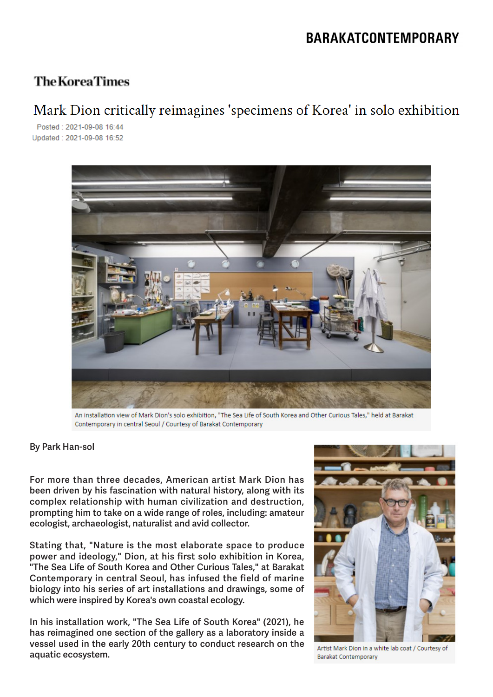## **BARAKATCONTEMPORARY**

### **The Korea Times**

# Mark Dion critically reimagines 'specimens of Korea' in solo exhibition

Posted: 2021-09-08 16:44 Updated: 2021-09-08 16:52



An installation view of Mark Dion's solo exhibition, "The Sea Life of South Korea and Other Curious Tales," held at Barakat Contemporary in central Seoul / Courtesy of Barakat Contemporary

#### **By Park Han-sol**

**For more than three decades, American artist Mark Dion has been driven by his fascination with natural history, along with its complex relationship with human civilization and destruction, prompting him to take on a wide range of roles, including: amateur ecologist, archaeologist, naturalist and avid collector.**

**Stating that, "Nature is the most elaborate space to produce power and ideology," Dion, at his first solo exhibition in Korea, "The Sea Life of South Korea and Other Curious Tales," at Barakat Contemporary in central Seoul, has infused the field of marine biology into his series of art installations and drawings, some of which were inspired by Korea's own coastal ecology.**

**In his installation work, "The Sea Life of South Korea" (2021), he has reimagined one section of the gallery as a laboratory inside a vessel used in the early 20th century to conduct research on the aquatic ecosystem.**



Artist Mark Dion in a white lab coat / Courtesy of **Barakat Contemporary**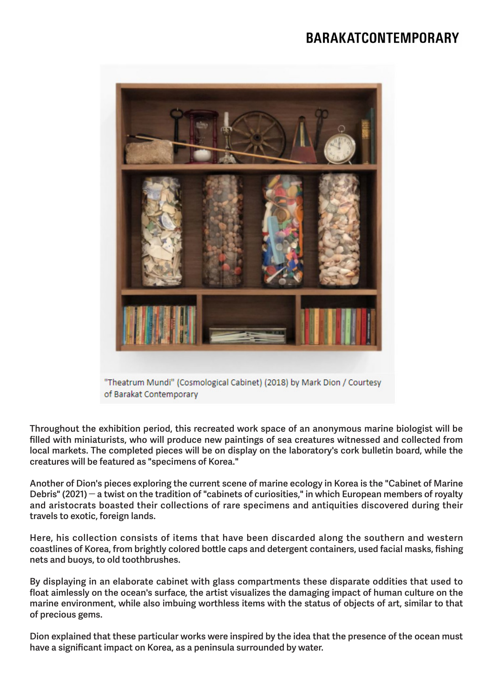### **BARAKATCONTEMPORARY**



**Throughout the exhibition period, this recreated work space of an anonymous marine biologist will be filled with miniaturists, who will produce new paintings of sea creatures witnessed and collected from local markets. The completed pieces will be on display on the laboratory's cork bulletin board, while the creatures will be featured as "specimens of Korea."**

**Another of Dion's pieces exploring the current scene of marine ecology in Korea is the "Cabinet of Marine Debris" (2021)** ― **a twist on the tradition of "cabinets of curiosities," in which European members of royalty and aristocrats boasted their collections of rare specimens and antiquities discovered during their travels to exotic, foreign lands.**

**Here, his collection consists of items that have been discarded along the southern and western coastlines of Korea, from brightly colored bottle caps and detergent containers, used facial masks, fishing nets and buoys, to old toothbrushes.**

**By displaying in an elaborate cabinet with glass compartments these disparate oddities that used to float aimlessly on the ocean's surface, the artist visualizes the damaging impact of human culture on the marine environment, while also imbuing worthless items with the status of objects of art, similar to that of precious gems.**

**Dion explained that these particular works were inspired by the idea that the presence of the ocean must have a significant impact on Korea, as a peninsula surrounded by water.**